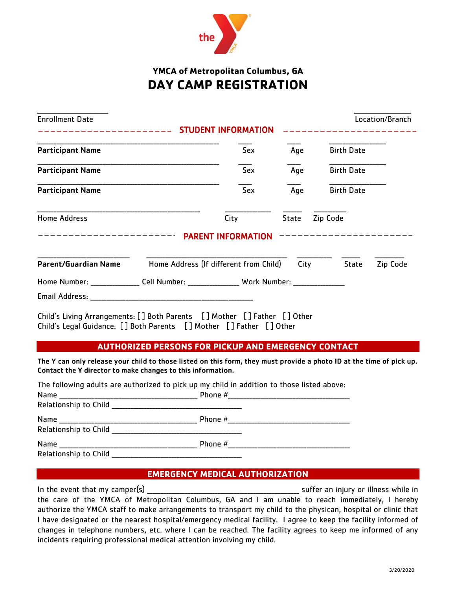

# **YMCA of Metropolitan Columbus, GA DAY CAMP REGISTRATION**

| <b>Enrollment Date</b><br>______________________________ STUDENT INFORMATION                                                                      |                                                            |                                   |                |                   | Location/Branch |
|---------------------------------------------------------------------------------------------------------------------------------------------------|------------------------------------------------------------|-----------------------------------|----------------|-------------------|-----------------|
| <b>Participant Name</b>                                                                                                                           |                                                            | Sex                               | Age            | <b>Birth Date</b> |                 |
| <b>Participant Name</b>                                                                                                                           |                                                            | <b>Sex</b>                        | Age            | <b>Birth Date</b> |                 |
| <b>Participant Name</b>                                                                                                                           |                                                            | Sex                               | Age            | <b>Birth Date</b> |                 |
| <b>Home Address</b><br>--------------------------                                                                                                 |                                                            | City<br><b>PARENT INFORMATION</b> | State Zip Code | _______________   |                 |
| Parent/Guardian Name Home Address (If different from Child)                                                                                       |                                                            |                                   |                | City State        | Zip Code        |
| Home Number: ________________Cell Number: __________________ Work Number: _________________________                                               |                                                            |                                   |                |                   |                 |
|                                                                                                                                                   |                                                            |                                   |                |                   |                 |
| Child's Living Arrangements: [] Both Parents [] Mother [] Father [] Other<br>Child's Legal Guidance: [] Both Parents [] Mother [] Father [] Other |                                                            |                                   |                |                   |                 |
|                                                                                                                                                   | <b>AUTHORIZED PERSONS FOR PICKUP AND EMERGENCY CONTACT</b> |                                   |                |                   |                 |

The Y can only release your child to those listed on this form, they must provide a photo ID at the time of pick up. Contact the Y director to make changes to this information.

|                                                                                                                               | The following adults are authorized to pick up my child in addition to those listed above: |  |
|-------------------------------------------------------------------------------------------------------------------------------|--------------------------------------------------------------------------------------------|--|
| Name                                                                                                                          |                                                                                            |  |
|                                                                                                                               |                                                                                            |  |
| Name                                                                                                                          | Phone #                                                                                    |  |
| Relationship to Child Manual Assembly and the Relationship to Child                                                           |                                                                                            |  |
| Name<br><u> 1989 - Johann John Stoff, deutscher Stoffen und der Stoffen und der Stoffen und der Stoffen und der Stoffen u</u> | Phone #                                                                                    |  |
| <b>Relationship to Child</b>                                                                                                  |                                                                                            |  |

## **EMERGENCY MEDICAL AUTHORIZATION**

In the event that my camper(s)  $\frac{1}{2}$  and  $\frac{1}{2}$  suffer an injury or illness while in the care of the YMCA of Metropolitan Columbus, GA and I am unable to reach immediately, I hereby authorize the YMCA staff to make arrangements to transport my child to the physican, hospital or clinic that I have designated or the nearest hospital/emergency medical facility. I agree to keep the facility informed of changes in telephone numbers, etc. where I can be reached. The facility agrees to keep me informed of any incidents requiring professional medical attention involving my child.